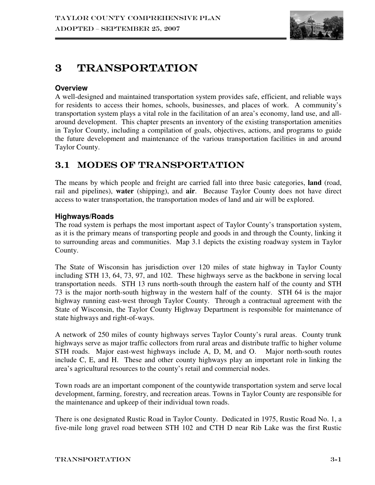

# 3 TRANSPORTATION

### **Overview**

A well-designed and maintained transportation system provides safe, efficient, and reliable ways for residents to access their homes, schools, businesses, and places of work. A community's transportation system plays a vital role in the facilitation of an area's economy, land use, and allaround development. This chapter presents an inventory of the existing transportation amenities in Taylor County, including a compilation of goals, objectives, actions, and programs to guide the future development and maintenance of the various transportation facilities in and around Taylor County.

## 3.1 MODES OF TRANSPORTATION

The means by which people and freight are carried fall into three basic categories, **land** (road, rail and pipelines), **water** (shipping), and **air**. Because Taylor County does not have direct access to water transportation, the transportation modes of land and air will be explored.

### **Highways/Roads**

The road system is perhaps the most important aspect of Taylor County's transportation system, as it is the primary means of transporting people and goods in and through the County, linking it to surrounding areas and communities. Map 3.1 depicts the existing roadway system in Taylor County.

The State of Wisconsin has jurisdiction over 120 miles of state highway in Taylor County including STH 13, 64, 73, 97, and 102. These highways serve as the backbone in serving local transportation needs. STH 13 runs north-south through the eastern half of the county and STH 73 is the major north-south highway in the western half of the county. STH 64 is the major highway running east-west through Taylor County. Through a contractual agreement with the State of Wisconsin, the Taylor County Highway Department is responsible for maintenance of state highways and right-of-ways.

A network of 250 miles of county highways serves Taylor County's rural areas. County trunk highways serve as major traffic collectors from rural areas and distribute traffic to higher volume STH roads. Major east-west highways include A, D, M, and O. Major north-south routes include C, E, and H. These and other county highways play an important role in linking the area's agricultural resources to the county's retail and commercial nodes.

Town roads are an important component of the countywide transportation system and serve local development, farming, forestry, and recreation areas. Towns in Taylor County are responsible for the maintenance and upkeep of their individual town roads.

There is one designated Rustic Road in Taylor County. Dedicated in 1975, Rustic Road No. 1, a five-mile long gravel road between STH 102 and CTH D near Rib Lake was the first Rustic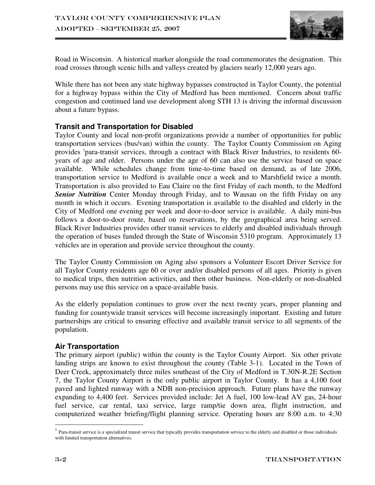

Road in Wisconsin. A historical marker alongside the road commemorates the designation. This road crosses through scenic hills and valleys created by glaciers nearly 12,000 years ago.

While there has not been any state highway bypasses constructed in Taylor County, the potential for a highway bypass within the City of Medford has been mentioned. Concern about traffic congestion and continued land use development along STH 13 is driving the informal discussion about a future bypass.

### **Transit and Transportation for Disabled**

Taylor County and local non-profit organizations provide a number of opportunities for public transportation services (bus/van) within the county. The Taylor County Commission on Aging provides <sup>1</sup>para-transit services, through a contract with Black River Industries, to residents 60years of age and older. Persons under the age of 60 can also use the service based on space available. While schedules change from time-to-time based on demand, as of late 2006, transportation service to Medford is available once a week and to Marshfield twice a month. Transportation is also provided to Eau Claire on the first Friday of each month, to the Medford *Senior Nutrition* Center Monday through Friday, and to Wausau on the fifth Friday on any month in which it occurs. Evening transportation is available to the disabled and elderly in the City of Medford one evening per week and door-to-door service is available. A daily mini-bus follows a door-to-door route, based on reservations, by the geographical area being served. Black River Industries provides other transit services to elderly and disabled individuals through the operation of buses funded through the State of Wisconsin 5310 program. Approximately 13 vehicles are in operation and provide service throughout the county.

The Taylor County Commission on Aging also sponsors a Volunteer Escort Driver Service for all Taylor County residents age 60 or over and/or disabled persons of all ages. Priority is given to medical trips, then nutrition activities, and then other business. Non-elderly or non-disabled persons may use this service on a space-available basis.

As the elderly population continues to grow over the next twenty years, proper planning and funding for countywide transit services will become increasingly important. Existing and future partnerships are critical to ensuring effective and available transit service to all segments of the population.

#### **Air Transportation**

The primary airport (public) within the county is the Taylor County Airport. Six other private landing strips are known to exist throughout the county (Table 3-1). Located in the Town of Deer Creek, approximately three miles southeast of the City of Medford in T.30N-R.2E Section 7, the Taylor County Airport is the only public airport in Taylor County. It has a 4,100 foot paved and lighted runway with a NDB non-precision approach. Future plans have the runway expanding to 4,400 feet. Services provided include: Jet A fuel, 100 low-lead AV gas, 24-hour fuel service, car rental, taxi service, large ramp/tie down area, flight instruction, and computerized weather briefing/flight planning service. Operating hours are 8:00 a.m. to 4:30

 $\overline{a}$ 

 $<sup>1</sup>$  Para-transit service is a specialized transit service that typically provides transportation service to the elderly and disabled or those individuals</sup> with limited transportation alternatives.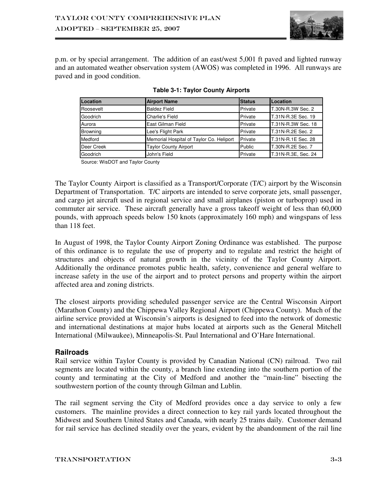

p.m. or by special arrangement. The addition of an east/west 5,001 ft paved and lighted runway and an automated weather observation system (AWOS) was completed in 1996. All runways are paved and in good condition.

| Location        | <b>Airport Name</b>                      | <b>Status</b> | Location            |
|-----------------|------------------------------------------|---------------|---------------------|
| Roosevelt       | <b>Baldez Field</b>                      | Private       | T.30N-R.3W Sec. 2   |
| Goodrich        | <b>Charlie's Field</b>                   | Private       | T.31N-R.3E Sec. 19  |
| Aurora          | East Gilman Field                        | Private       | T.31N-R.3W Sec. 18  |
| <b>Browning</b> | Lee's Flight Park                        | Private       | T.31N-R.2E Sec. 2   |
| Medford         | Memorial Hospital of Taylor Co. Heliport | Private       | T.31N-R.1E Sec. 28  |
| Deer Creek      | <b>Taylor County Airport</b>             | Public        | T.30N-R.2E Sec. 7   |
| Goodrich        | John's Field                             | Private       | T.31N-R.3E, Sec. 24 |

|  |  | Table 3-1: Taylor County Airports |
|--|--|-----------------------------------|
|  |  |                                   |

Source: WisDOT and Taylor County

The Taylor County Airport is classified as a Transport/Corporate (T/C) airport by the Wisconsin Department of Transportation. T/C airports are intended to serve corporate jets, small passenger, and cargo jet aircraft used in regional service and small airplanes (piston or turboprop) used in commuter air service. These aircraft generally have a gross takeoff weight of less than 60,000 pounds, with approach speeds below 150 knots (approximately 160 mph) and wingspans of less than 118 feet.

In August of 1998, the Taylor County Airport Zoning Ordinance was established. The purpose of this ordinance is to regulate the use of property and to regulate and restrict the height of structures and objects of natural growth in the vicinity of the Taylor County Airport. Additionally the ordinance promotes public health, safety, convenience and general welfare to increase safety in the use of the airport and to protect persons and property within the airport affected area and zoning districts.

The closest airports providing scheduled passenger service are the Central Wisconsin Airport (Marathon County) and the Chippewa Valley Regional Airport (Chippewa County). Much of the airline service provided at Wisconsin's airports is designed to feed into the network of domestic and international destinations at major hubs located at airports such as the General Mitchell International (Milwaukee), Minneapolis-St. Paul International and O'Hare International.

#### **Railroads**

Rail service within Taylor County is provided by Canadian National (CN) railroad. Two rail segments are located within the county, a branch line extending into the southern portion of the county and terminating at the City of Medford and another the "main-line" bisecting the southwestern portion of the county through Gilman and Lublin.

The rail segment serving the City of Medford provides once a day service to only a few customers. The mainline provides a direct connection to key rail yards located throughout the Midwest and Southern United States and Canada, with nearly 25 trains daily. Customer demand for rail service has declined steadily over the years, evident by the abandonment of the rail line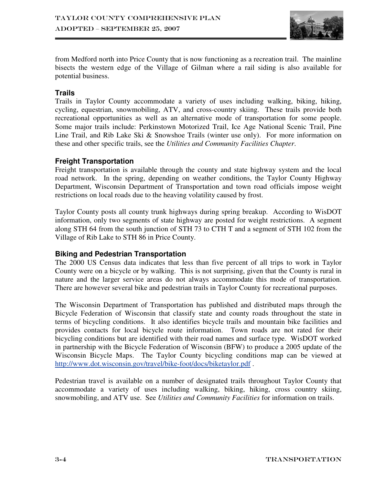

from Medford north into Price County that is now functioning as a recreation trail. The mainline bisects the western edge of the Village of Gilman where a rail siding is also available for potential business.

#### **Trails**

Trails in Taylor County accommodate a variety of uses including walking, biking, hiking, cycling, equestrian, snowmobiling, ATV, and cross-country skiing. These trails provide both recreational opportunities as well as an alternative mode of transportation for some people. Some major trails include: Perkinstown Motorized Trail, Ice Age National Scenic Trail, Pine Line Trail, and Rib Lake Ski & Snowshoe Trails (winter use only). For more information on these and other specific trails, see the *Utilities and Community Facilities Chapter*.

#### **Freight Transportation**

Freight transportation is available through the county and state highway system and the local road network. In the spring, depending on weather conditions, the Taylor County Highway Department, Wisconsin Department of Transportation and town road officials impose weight restrictions on local roads due to the heaving volatility caused by frost.

Taylor County posts all county trunk highways during spring breakup. According to WisDOT information, only two segments of state highway are posted for weight restrictions. A segment along STH 64 from the south junction of STH 73 to CTH T and a segment of STH 102 from the Village of Rib Lake to STH 86 in Price County.

#### **Biking and Pedestrian Transportation**

The 2000 US Census data indicates that less than five percent of all trips to work in Taylor County were on a bicycle or by walking. This is not surprising, given that the County is rural in nature and the larger service areas do not always accommodate this mode of transportation. There are however several bike and pedestrian trails in Taylor County for recreational purposes.

The Wisconsin Department of Transportation has published and distributed maps through the Bicycle Federation of Wisconsin that classify state and county roads throughout the state in terms of bicycling conditions. It also identifies bicycle trails and mountain bike facilities and provides contacts for local bicycle route information. Town roads are not rated for their bicycling conditions but are identified with their road names and surface type. WisDOT worked in partnership with the Bicycle Federation of Wisconsin (BFW) to produce a 2005 update of the Wisconsin Bicycle Maps. The Taylor County bicycling conditions map can be viewed at http://www.dot.wisconsin.gov/travel/bike-foot/docs/biketaylor.pdf .

Pedestrian travel is available on a number of designated trails throughout Taylor County that accommodate a variety of uses including walking, biking, hiking, cross country skiing, snowmobiling, and ATV use. See *Utilities and Community Facilities* for information on trails.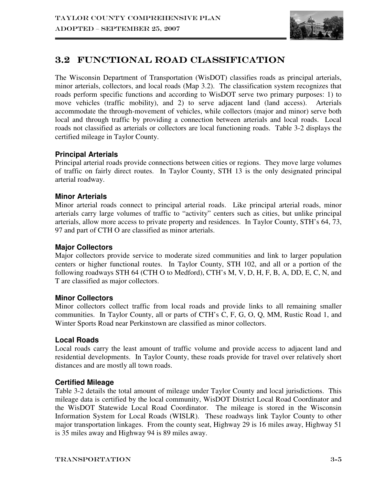

## $3.2\;$  FUNCTIONAL ROAD CLASSIFICATION

The Wisconsin Department of Transportation (WisDOT) classifies roads as principal arterials, minor arterials, collectors, and local roads (Map 3.2). The classification system recognizes that roads perform specific functions and according to WisDOT serve two primary purposes: 1) to move vehicles (traffic mobility), and 2) to serve adjacent land (land access). Arterials accommodate the through-movement of vehicles, while collectors (major and minor) serve both local and through traffic by providing a connection between arterials and local roads. Local roads not classified as arterials or collectors are local functioning roads. Table 3-2 displays the certified mileage in Taylor County.

### **Principal Arterials**

Principal arterial roads provide connections between cities or regions. They move large volumes of traffic on fairly direct routes. In Taylor County, STH 13 is the only designated principal arterial roadway.

### **Minor Arterials**

Minor arterial roads connect to principal arterial roads. Like principal arterial roads, minor arterials carry large volumes of traffic to "activity" centers such as cities, but unlike principal arterials, allow more access to private property and residences. In Taylor County, STH's 64, 73, 97 and part of CTH O are classified as minor arterials.

#### **Major Collectors**

Major collectors provide service to moderate sized communities and link to larger population centers or higher functional routes. In Taylor County, STH 102, and all or a portion of the following roadways STH 64 (CTH O to Medford), CTH's M, V, D, H, F, B, A, DD, E, C, N, and T are classified as major collectors.

#### **Minor Collectors**

Minor collectors collect traffic from local roads and provide links to all remaining smaller communities. In Taylor County, all or parts of CTH's C, F, G, O, Q, MM, Rustic Road 1, and Winter Sports Road near Perkinstown are classified as minor collectors.

#### **Local Roads**

Local roads carry the least amount of traffic volume and provide access to adjacent land and residential developments. In Taylor County, these roads provide for travel over relatively short distances and are mostly all town roads.

#### **Certified Mileage**

Table 3-2 details the total amount of mileage under Taylor County and local jurisdictions. This mileage data is certified by the local community, WisDOT District Local Road Coordinator and the WisDOT Statewide Local Road Coordinator. The mileage is stored in the Wisconsin Information System for Local Roads (WISLR). These roadways link Taylor County to other major transportation linkages. From the county seat, Highway 29 is 16 miles away, Highway 51 is 35 miles away and Highway 94 is 89 miles away.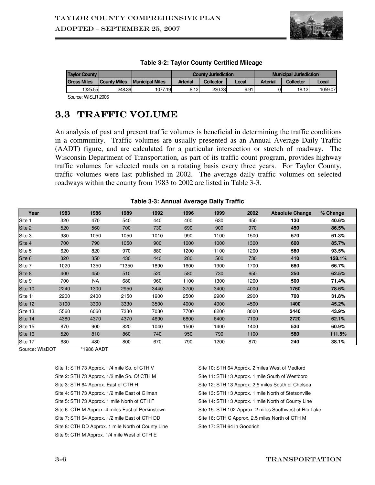

| <b>Tavlor County</b>     |              |                         |                 | <b>County Jurisdiction</b> |       | <b>Municipal Jurisdiction</b> |                  |         |
|--------------------------|--------------|-------------------------|-----------------|----------------------------|-------|-------------------------------|------------------|---------|
| <b>Gross Miles</b>       | County Miles | <b>IMunicipal Miles</b> | <b>Arterial</b> | <b>Collector</b>           | Local | <b>Arterial</b>               | <b>Collector</b> | Local   |
| 1325.55                  | 248.36       | 1077<br>.19             | 8.12            | 230.33                     | 9.91  |                               | 18.12            | 1059.07 |
| . . <i>. .</i><br>$\sim$ |              |                         |                 |                            |       |                               |                  |         |

Source: WISLR 2006

## 3.3 TRAFFIC VOLUME

An analysis of past and present traffic volumes is beneficial in determining the traffic conditions in a community. Traffic volumes are usually presented as an Annual Average Daily Traffic (AADT) figure, and are calculated for a particular intersection or stretch of roadway. The Wisconsin Department of Transportation, as part of its traffic count program, provides highway traffic volumes for selected roads on a rotating basis every three years. For Taylor County, traffic volumes were last published in 2002. The average daily traffic volumes on selected roadways within the county from 1983 to 2002 are listed in Table 3-3.

#### **Table 3-3: Annual Average Daily Traffic**

| Year    | 1983 | 1986      | 1989  | 1992 | 1996 | 1999 | 2002 | <b>Absolute Change</b> | % Change |
|---------|------|-----------|-------|------|------|------|------|------------------------|----------|
| Site 1  | 320  | 470       | 540   | 440  | 400  | 630  | 450  | 130                    | 40.6%    |
| Site 2  | 520  | 560       | 700   | 730  | 690  | 900  | 970  | 450                    | 86.5%    |
| Site 3  | 930  | 1050      | 1050  | 1010 | 990  | 1100 | 1500 | 570                    | 61.3%    |
| Site 4  | 700  | 790       | 1050  | 900  | 1000 | 1000 | 1300 | 600                    | 85.7%    |
| Site 5  | 620  | 820       | 970   | 880  | 1200 | 1100 | 1200 | 580                    | 93.5%    |
| Site 6  | 320  | 350       | 430   | 440  | 280  | 500  | 730  | 410                    | 128.1%   |
| Site 7  | 1020 | 1350      | *1350 | 1890 | 1600 | 1900 | 1700 | 680                    | 66.7%    |
| Site 8  | 400  | 450       | 510   | 520  | 580  | 730  | 650  | 250                    | 62.5%    |
| Site 9  | 700  | <b>NA</b> | 680   | 960  | 1100 | 1300 | 1200 | 500                    | 71.4%    |
| Site 10 | 2240 | 1300      | 2950  | 3440 | 3700 | 3400 | 4000 | 1760                   | 78.6%    |
| Site 11 | 2200 | 2400      | 2150  | 1900 | 2500 | 2900 | 2900 | 700                    | 31.8%    |
| Site 12 | 3100 | 3300      | 3330  | 3500 | 4000 | 4900 | 4500 | 1400                   | 45.2%    |
| Site 13 | 5560 | 6060      | 7330  | 7030 | 7700 | 8200 | 8000 | 2440                   | 43.9%    |
| Site 14 | 4380 | 4370      | 4370  | 4690 | 6800 | 6400 | 7100 | 2720                   | 62.1%    |
| Site 15 | 870  | 900       | 820   | 1040 | 1500 | 1400 | 1400 | 530                    | 60.9%    |
| Site 16 | 520  | 810       | 860   | 740  | 950  | 790  | 1100 | 580                    | 111.5%   |
| Site 17 | 630  | 480       | 800   | 670  | 790  | 1200 | 870  | 240                    | 38.1%    |

Source: WisDOT \*1986 AADT

Site 1: STH 73 Approx. 1/4 mile So. of CTH V Site 2: STH 73 Approx. 1/2 mile So. Of CTH M Site 3: STH 64 Approx. East of CTH H Site 4: STH 73 Approx. 1/2 mile East of Gilman Site 5: STH 73 Approx. 1 mile North of CTH F Site 6: CTH M Approx. 4 miles East of Perkinstown Site 7: STH 64 Approx. 1/2 mile East of CTH DD Site 8: CTH DD Approx. 1 mile North of County Line Site 9: CTH M Approx. 1/4 mile West of CTH E

Site 10: STH 64 Approx. 2 miles West of Medford Site 11: STH 13 Approx. 1 mile South of Westboro Site 12: STH 13 Approx. 2.5 miles South of Chelsea Site 13: STH 13 Approx. 1 mile North of Stetsonville Site 14: STH 13 Approx. 1 mile North of County Line Site 15: STH 102 Approx. 2 miles Southwest of Rib Lake Site 16: CTH C Approx. 2.5 miles North of CTH M Site 17: STH 64 in Goodrich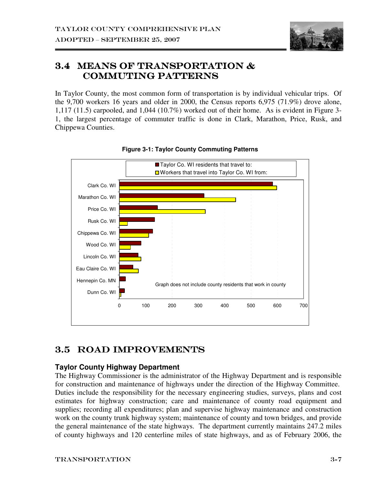

## 3.4 Means of Transportation & Commuting Patterns

In Taylor County, the most common form of transportation is by individual vehicular trips. Of the 9,700 workers 16 years and older in 2000, the Census reports 6,975 (71.9%) drove alone, 1,117 (11.5) carpooled, and 1,044 (10.7%) worked out of their home. As is evident in Figure 3- 1, the largest percentage of commuter traffic is done in Clark, Marathon, Price, Rusk, and Chippewa Counties.



#### **Figure 3-1: Taylor County Commuting Patterns**

## 3.5 ROAD IMPROVEMENTS

### **Taylor County Highway Department**

The Highway Commissioner is the administrator of the Highway Department and is responsible for construction and maintenance of highways under the direction of the Highway Committee. Duties include the responsibility for the necessary engineering studies, surveys, plans and cost estimates for highway construction; care and maintenance of county road equipment and supplies; recording all expenditures; plan and supervise highway maintenance and construction work on the county trunk highway system; maintenance of county and town bridges, and provide the general maintenance of the state highways. The department currently maintains 247.2 miles of county highways and 120 centerline miles of state highways, and as of February 2006, the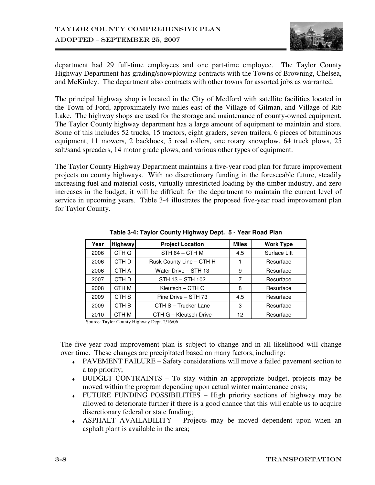

department had 29 full-time employees and one part-time employee. The Taylor County Highway Department has grading/snowplowing contracts with the Towns of Browning, Chelsea, and McKinley. The department also contracts with other towns for assorted jobs as warranted.

The principal highway shop is located in the City of Medford with satellite facilities located in the Town of Ford, approximately two miles east of the Village of Gilman, and Village of Rib Lake. The highway shops are used for the storage and maintenance of county-owned equipment. The Taylor County highway department has a large amount of equipment to maintain and store. Some of this includes 52 trucks, 15 tractors, eight graders, seven trailers, 6 pieces of bituminous equipment, 11 mowers, 2 backhoes, 5 road rollers, one rotary snowplow, 64 truck plows, 25 salt/sand spreaders, 14 motor grade plows, and various other types of equipment.

The Taylor County Highway Department maintains a five-year road plan for future improvement projects on county highways. With no discretionary funding in the foreseeable future, steadily increasing fuel and material costs, virtually unrestricted loading by the timber industry, and zero increases in the budget, it will be difficult for the department to maintain the current level of service in upcoming years. Table 3-4 illustrates the proposed five-year road improvement plan for Taylor County.

| Year                                       | <b>Highway</b>   | <b>Project Location</b>  | <b>Miles</b> | <b>Work Type</b> |  |  |
|--------------------------------------------|------------------|--------------------------|--------------|------------------|--|--|
| 2006                                       | CTH Q            | $STH 64 - CTH M$         | 4.5          | Surface Lift     |  |  |
| 2006                                       | CTH <sub>D</sub> | Rusk County Line - CTH H |              | Resurface        |  |  |
| 2006                                       | CTH A            | Water Drive - STH 13     | 9            | Resurface        |  |  |
| 2007                                       | CTH <sub>D</sub> | STH 13 - STH 102         | 7            | Resurface        |  |  |
| 2008                                       | CTH M            | Kleutsch – CTH Q         | 8            | Resurface        |  |  |
| 2009                                       | CTH <sub>S</sub> | Pine Drive - STH 73      | 4.5          | Resurface        |  |  |
| 2009                                       | CTH <sub>B</sub> | CTH S - Trucker Lane     | 3            | Resurface        |  |  |
| 2010                                       | CTH M            | CTH G - Kleutsch Drive   | 12           | Resurface        |  |  |
| Course Taylor County Highway Dont, 0/16/06 |                  |                          |              |                  |  |  |

**Table 3-4: Taylor County Highway Dept. 5 - Year Road Plan** 

Source: Taylor County Highway Dept. 2/16/06

The five-year road improvement plan is subject to change and in all likelihood will change over time. These changes are precipitated based on many factors, including:

- ♦ PAVEMENT FAILURE Safety considerations will move a failed pavement section to a top priority;
- ♦ BUDGET CONTRAINTS To stay within an appropriate budget, projects may be moved within the program depending upon actual winter maintenance costs;
- ♦ FUTURE FUNDING POSSIBILITIES High priority sections of highway may be allowed to deteriorate further if there is a good chance that this will enable us to acquire discretionary federal or state funding;
- ♦ ASPHALT AVAILABILITY Projects may be moved dependent upon when an asphalt plant is available in the area;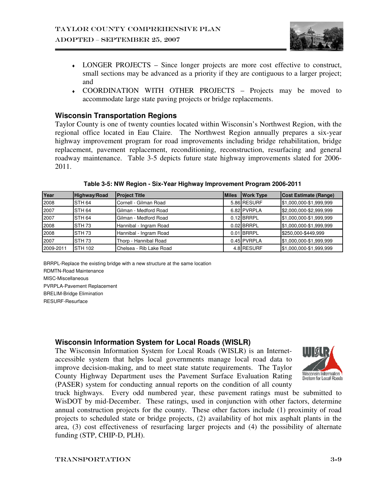

- ♦ LONGER PROJECTS Since longer projects are more cost effective to construct, small sections may be advanced as a priority if they are contiguous to a larger project; and
- ♦ COORDINATION WITH OTHER PROJECTS Projects may be moved to accommodate large state paving projects or bridge replacements.

#### **Wisconsin Transportation Regions**

Taylor County is one of twenty counties located within Wisconsin's Northwest Region, with the regional office located in Eau Claire. The Northwest Region annually prepares a six-year highway improvement program for road improvements including bridge rehabilitation, bridge replacement, pavement replacement, reconditioning, reconstruction, resurfacing and general roadway maintenance. Table 3-5 depicts future state highway improvements slated for 2006- 2011.

| Year      | Highway/Road      | <b>Project Title</b>    | <b>Miles</b> | <b>Work Type</b> | <b>Cost Estimate (Range)</b> |
|-----------|-------------------|-------------------------|--------------|------------------|------------------------------|
| 2008      | STH <sub>64</sub> | Cornell - Gilman Road   |              | 5.86 RESURF      | \$1,000,000-\$1,999,999      |
| 2007      | <b>STH 64</b>     | Gilman - Medford Road   |              | 6.82 PVRPLA      | \$2,000,000-\$2,999,999      |
| 2007      | <b>STH 64</b>     | Gilman - Medford Road   |              | $0.12$ BRRPL     | \$1,000,000-\$1,999,999      |
| 2008      | <b>STH 73</b>     | Hannibal - Ingram Road  |              | $0.02$ BRRPL     | \$1,000,000-\$1,999,999      |
| 2008      | STH <sub>73</sub> | Hannibal - Ingram Road  |              | $0.01$ BRRPL     | \$250,000-\$449,999          |
| 2007      | <b>STH 73</b>     | Thorp - Hannibal Road   |              | 0.45 PVRPLA      | \$1,000,000-\$1,999,999      |
| 2009-2011 | ISTH 102          | Chelsea - Rib Lake Road |              | 4.8 RESURF       | \$1,000,000-\$1,999,999      |

**Table 3-5: NW Region - Six-Year Highway Improvement Program 2006-2011** 

BRRPL-Replace the existing bridge with a new structure at the same location RDMTN-Road Maintenance MISC-Miscellaneous PVRPLA-Pavement Replacement BRELIM-Bridge Elimination RESURF-Resurface

#### **Wisconsin Information System for Local Roads (WISLR)**

The Wisconsin Information System for Local Roads (WISLR) is an Internetaccessible system that helps local governments manage local road data to improve decision-making, and to meet state statute requirements. The Taylor County Highway Department uses the Pavement Surface Evaluation Rating (PASER) system for conducting annual reports on the condition of all county



truck highways. Every odd numbered year, these pavement ratings must be submitted to WisDOT by mid-December. These ratings, used in conjunction with other factors, determine annual construction projects for the county. These other factors include (1) proximity of road projects to scheduled state or bridge projects, (2) availability of hot mix asphalt plants in the area, (3) cost effectiveness of resurfacing larger projects and (4) the possibility of alternate funding (STP, CHIP-D, PLH).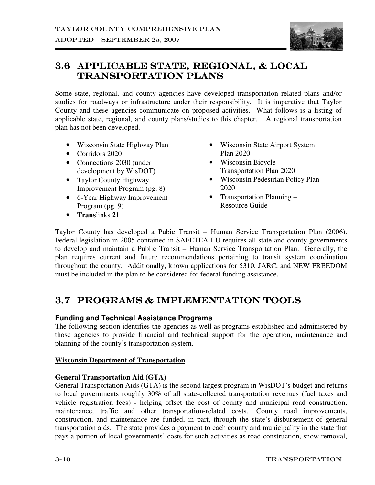

## 3.6 APPLICABLE STATE, REGIONAL, & LOCAL TRANSPORTATION PLANS

Some state, regional, and county agencies have developed transportation related plans and/or studies for roadways or infrastructure under their responsibility. It is imperative that Taylor County and these agencies communicate on proposed activities. What follows is a listing of applicable state, regional, and county plans/studies to this chapter. A regional transportation plan has not been developed.

- Wisconsin State Highway Plan
- Corridors 2020
- Connections 2030 (under development by WisDOT)
- Taylor County Highway Improvement Program (pg. 8)
- 6-Year Highway Improvement Program (pg. 9)
- **Trans**links **21**
- Wisconsin State Airport System Plan 2020
- Wisconsin Bicycle Transportation Plan 2020
- Wisconsin Pedestrian Policy Plan 2020
- Transportation Planning Resource Guide

Taylor County has developed a Pubic Transit – Human Service Transportation Plan (2006). Federal legislation in 2005 contained in SAFETEA-LU requires all state and county governments to develop and maintain a Public Transit – Human Service Transportation Plan. Generally, the plan requires current and future recommendations pertaining to transit system coordination throughout the county. Additionally, known applications for 5310, JARC, and NEW FREEDOM must be included in the plan to be considered for federal funding assistance.

## 3.7 PROGRAMS & IMPLEMENTATION TOOLS

### **Funding and Technical Assistance Programs**

The following section identifies the agencies as well as programs established and administered by those agencies to provide financial and technical support for the operation, maintenance and planning of the county's transportation system.

#### **Wisconsin Department of Transportation**

#### **General Transportation Aid (GTA)**

General Transportation Aids (GTA) is the second largest program in WisDOT's budget and returns to local governments roughly 30% of all state-collected transportation revenues (fuel taxes and vehicle registration fees) - helping offset the cost of county and municipal road construction, maintenance, traffic and other transportation-related costs. County road improvements, construction, and maintenance are funded, in part, through the state's disbursement of general transportation aids. The state provides a payment to each county and municipality in the state that pays a portion of local governments' costs for such activities as road construction, snow removal,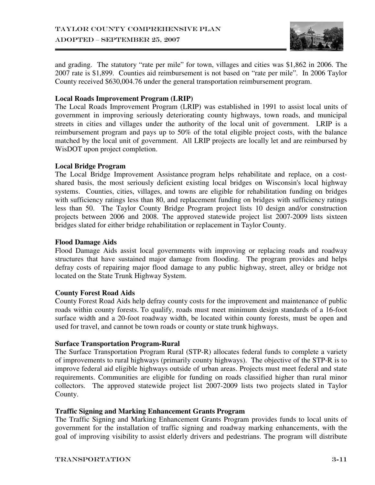

and grading. The statutory "rate per mile" for town, villages and cities was \$1,862 in 2006. The 2007 rate is \$1,899. Counties aid reimbursement is not based on "rate per mile". In 2006 Taylor County received \$630,004.76 under the general transportation reimbursement program.

#### **Local Roads Improvement Program (LRIP)**

The Local Roads Improvement Program (LRIP) was established in 1991 to assist local units of government in improving seriously deteriorating county highways, town roads, and municipal streets in cities and villages under the authority of the local unit of government. LRIP is a reimbursement program and pays up to 50% of the total eligible project costs, with the balance matched by the local unit of government. All LRIP projects are locally let and are reimbursed by WisDOT upon project completion.

#### **Local Bridge Program**

The Local Bridge Improvement Assistance program helps rehabilitate and replace, on a costshared basis, the most seriously deficient existing local bridges on Wisconsin's local highway systems. Counties, cities, villages, and towns are eligible for rehabilitation funding on bridges with sufficiency ratings less than 80, and replacement funding on bridges with sufficiency ratings less than 50. The Taylor County Bridge Program project lists 10 design and/or construction projects between 2006 and 2008. The approved statewide project list 2007-2009 lists sixteen bridges slated for either bridge rehabilitation or replacement in Taylor County.

#### **Flood Damage Aids**

Flood Damage Aids assist local governments with improving or replacing roads and roadway structures that have sustained major damage from flooding. The program provides and helps defray costs of repairing major flood damage to any public highway, street, alley or bridge not located on the State Trunk Highway System.

#### **County Forest Road Aids**

County Forest Road Aids help defray county costs for the improvement and maintenance of public roads within county forests. To qualify, roads must meet minimum design standards of a 16-foot surface width and a 20-foot roadway width, be located within county forests, must be open and used for travel, and cannot be town roads or county or state trunk highways.

#### **Surface Transportation Program-Rural**

The Surface Transportation Program Rural (STP-R) allocates federal funds to complete a variety of improvements to rural highways (primarily county highways). The objective of the STP-R is to improve federal aid eligible highways outside of urban areas. Projects must meet federal and state requirements. Communities are eligible for funding on roads classified higher than rural minor collectors. The approved statewide project list 2007-2009 lists two projects slated in Taylor County.

#### **Traffic Signing and Marking Enhancement Grants Program**

The Traffic Signing and Marking Enhancement Grants Program provides funds to local units of government for the installation of traffic signing and roadway marking enhancements, with the goal of improving visibility to assist elderly drivers and pedestrians. The program will distribute